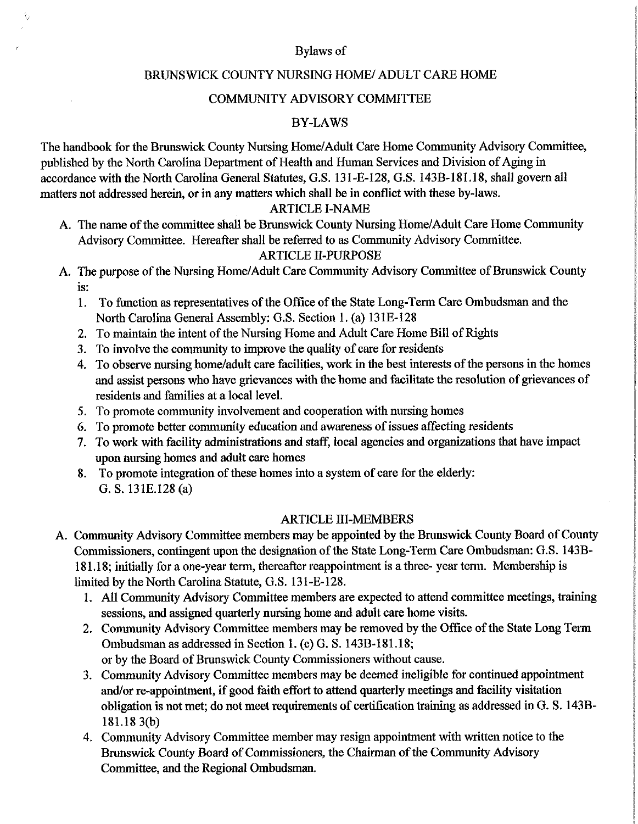#### Bylaws of

#### BRUNSWICK COUNTY NURSING HOME/ ADULT CARE HOME

### COMMUNITY ADVISORY COMMITTEE

### BY-LAWS

The handbook for the Brunswick County Nursing Home/Adult Care Home Community Advisory Committee, published by the North Carolina Department of Health and Human Services and Division of Aging in accordance with the North Carolina General Statutes, G.S. 131-E-128, G.S. 143B-181.18, shall govern all matters not addressed herein, or in any matters which shall be in conflict with these by-laws.

## ARTICLE I -NAME

A. The name of the committee shall be Brunswick County Nursing Home/Adult Care Home Community Advisory Committee. Hereafter shall be referred to as Community Advisory Committee. ARTICLE II -PURPOSE

# A. The purpose of the Nursing Home/Adult Care Community Advisory Committee of Brunswick County

is:

ŧ,

- 1. To function as representatives of the Office of the State Long-Term Care Ombudsman and the North Carolina General Assembly: G.S. Section 1. (a) 131E-128
- 2. To maintain the intent of the Nursing Home and Adult Care Home Bill of Rights
- 3. To involve the community to improve the quality of care for residents
- 4. To observe nursing home/adult care facilities, work in the best interests of the persons in the homes and assist persons who have grievances with the home and facilitate the resolution of grievances of residents and families at a local level.
- 5. To promote community involvement and cooperation with nursing homes
- 6. To promote better community education and awareness of issues affecting residents
- 7. To work with facility administrations and staff, local agencies and organizations that have impact upon nursing homes and adult care homes
- 8. To promote integration of these homes into <sup>a</sup> system of care for the elderly: G. S. 131E.128 (a)

#### ARTICLE III -MEMBERS

- A. Community Advisory Committee members may be appointed by the Brunswick County Board of County Commissioners, contingent upon the designation of the State Long-Term Care Ombudsman: G.S. 143B-181. 18; initially for a one-year term, thereafter reappointment is a three- year term. Membership is limited by the North Carolina Statute, G.S. 131-E-128.
	- 1. All Community Advisory Committee members are expected to attend committee meetings, training sessions, and assigned quarterly nursing home and adult care home visits.
	- 2. Community Advisory Committee members may be removed by the Office of the State Long Term Ombudsman as addressed in Section 1. (c) G. S. 143B-181.18; or by the Board of Brunswick County Commissioners without cause.
	- 3. Community Advisory Committee members may be deemed ineligible for continued appointment and/or re-appointment, if good faith effort to attend quarterly meetings and facility visitation obligation is not met; do not meet requirements of certification training as addressed in G. S. 143B-181.18 3(b)
	- 4. Community Advisory Committee member may resign appointment with written notice to the Brunswick County Board of Commissioners, the Chairman of the Community Advisory Committee, and the Regional Ombudsman.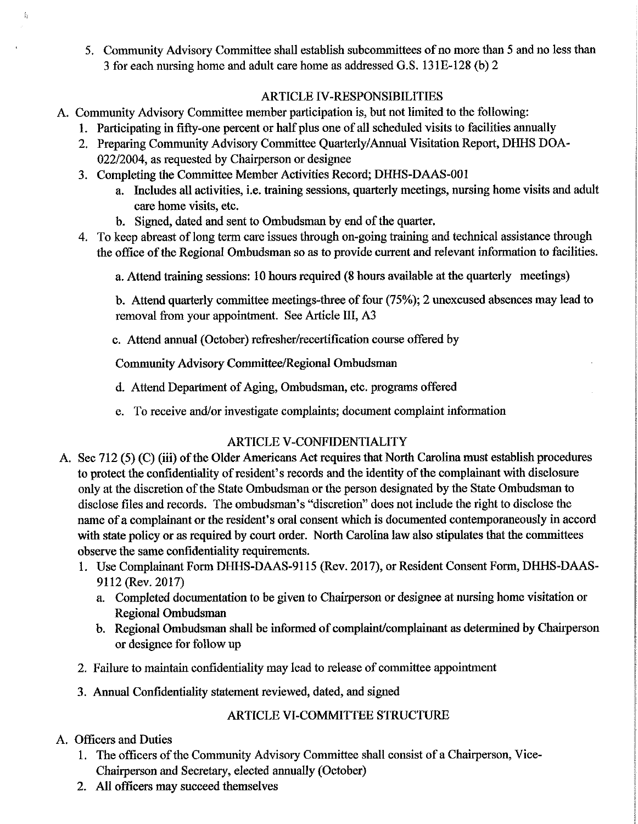5. Community Advisory Committee shall establish subcommittees of no more than <sup>5</sup> and no less than <sup>3</sup> for each nursing home and adult care home as addressed G.S. 131E- 128 ( b) 2

## ARTICLE IV -RESPONSIBILITIES

- A. Community Advisory Committee member participation is, but not limited to the following:
	- 1. Participating in fifty-one percent or half plus one of all scheduled visits to facilities annually
	- 2. Preparing Community Advisory Committee Quarterly/Annual Visitation Report, DHHS DOA 022/2004, as requested by Chairperson or designee
	- 3. Completing the Committee Member Activities Record; DHHS-DAAS- 001
		- a. Includes all activities, i.e. training sessions, quarterly meetings, nursing home visits and adult care home visits, etc.
		- b. Signed, dated and sent to Ombudsman by end of the quarter.
	- 4. To keep abreast of long term care issues through on-going training and technical assistance through the office of the Regional Ombudsman so as to provide current and relevant information to facilities.

a. Attend training sessions: 10 hours required (8 hours available at the quarterly meetings)

b. Attend quarterly committee meetings-three of four (75%); 2 unexcused absences may lead to removal from your appointment. See Article III, A3

c. Attend annual (October) refresher/recertification course offered by

Community Advisory Committee/Regional Ombudsman

- d. Attend Department of Aging, Ombudsman, etc. programs offered
- e. To receive and/or investigate complaints; document complaint information

# ARTICLE V -CONFIDENTIALITY

- A. Sec 712 (5) (C) (iii) of the Older Americans Act requires that North Carolina must establish procedures to protect the confidentiality of resident's records and the identity of the complainant with disclosure only at the discretion of the State Ombudsman or the person designated by the State Ombudsman to disclose files and records. The ombudsman's "discretion" does not include the right to disclose the name of a complainant or the resident's oral consent which is documented contemporaneously in accord with state policy or as required by court order. North Carolina law also stipulates that the committees observe the same confidentiality requirements.
	- 1. Use Complainant Form DHHS-DAAS-9115 ( Rev. 2017), or Resident Consent Form, DHHS-DAAS-9112 (Rev. 2017)
		- a. Completed documentation to be given to Chairperson or designee at nursing home visitation or Regional Ombudsman
		- b. Regional Ombudsman shall be informed of complaint/complainant as determined by Chairperson or designee for follow up
	- 2. Failure to maintain confidentiality may lead to release of committee appointment
	- 3. Annual Confidentiality statement reviewed, dated, and signed

# ARTICLE VI -COMMITTEE STRUCTURE

# A. Officers and Duties

 $\mathcal{V}$ 

- 1. The officers of the Community Advisory Committee shall consist of a Chairperson, Vice-Chairperson and Secretary, elected annually (October)
- 2. All officers may succeed themselves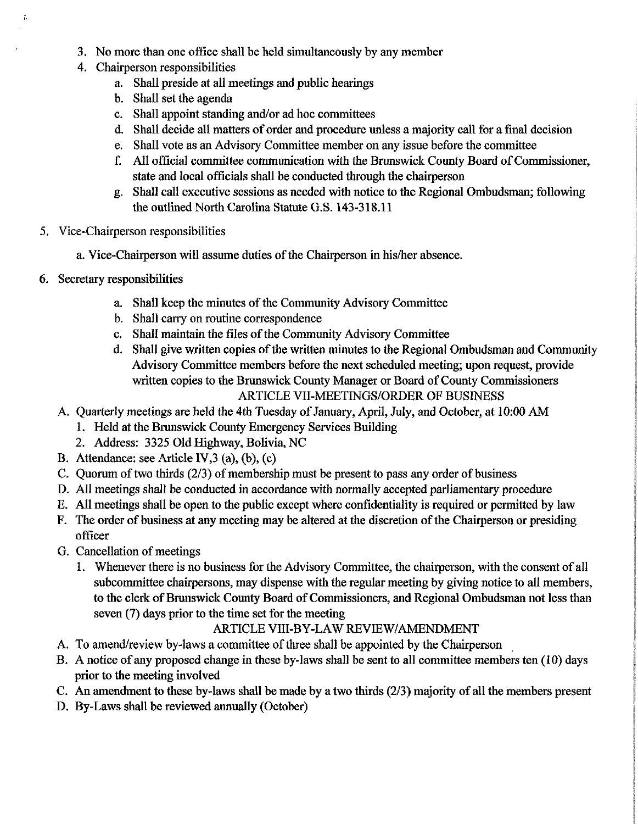- 3. No more than one office shall be held simultaneously by any member
- 4. Chairperson responsibilities
	- a. Shall preside at all meetings and public hearings
	- b. Shall set the agenda
	- c. Shall appoint standing and/or ad hoc committees
	- d. Shall decide all matters of order and procedure unless a majority call for a final decision
	- e. Shall vote as an Advisory Committee member on any issue before the committee
	- f. All official committee communication with the Brunswick County Board of Commissioner, state and local officials shall be conducted through the chairperson
	- g. Shall call executive sessions as needed with notice to the Regional Ombudsman; following the outlined North Carolina Statute G.S. 143-318.11
- 5. Vice -Chairperson responsibilities
	- a. Vice -Chairperson will assume duties of the Chairperson in his/her absence.
- 6. Secretary responsibilities

÷.

- a. Shall keep the minutes of the Community Advisory Committee
- b. Shall carry on routine correspondence
- c. Shall maintain the files of the Community Advisory Committee
- d. Shall give written copies of the written minutes to the Regional Ombudsman and Community Advisory Committee members before the next scheduled meeting; upon request, provide written copies to the Brunswick County Manager or Board of County Commissioners ARTICLE VII-MEETINGS/ORDER OF BUSINESS
- A. Quarterly meetings are held the 4th Tuesday of January, April, July, and October, at 10:00 AM
	- 1. Held at the Brunswick County Emergency Services Building
	- 2. Address: 3325 Old Highway, Bolivia, NC
- B. Attendance: see Article IV,  $3$  (a), (b), (c)
- C. Quorum of two thirds (2/3) of membership must be present to pass any order of business
- D. All meetings shall be conducted in accordance with normally accepted parliamentary procedure
- E. All meetings shall be open to the public except where confidentiality is required or permitted by law
- F. The order of business at any meeting may be altered at the discretion of the Chairperson or presiding officer
- G. Cancellation of meetings
	- 1. Whenever there is no business for the Advisory Committee, the chairperson, with the consent of all subcommittee chairpersons, may dispense with the regular meeting by giving notice to all members, to the clerk of Brunswick County Board of Commissioners, and Regional Ombudsman not less than seven (7) days prior to the time set for the meeting

## ARTICLE VIII-BY-LAW REVIEW/AMENDMENT

- A. To amend/review by-laws a committee of three shall be appointed by the Chairperson
- B. A notice of any proposed change in these by-laws shall be sent to all committee members ten ( 10) days prior to the meeting involved
- C. An amendment to these by-laws shall be made by a two thirds (2/3) majority of all the members present
- D. By -Laws shall be reviewed annually (October)